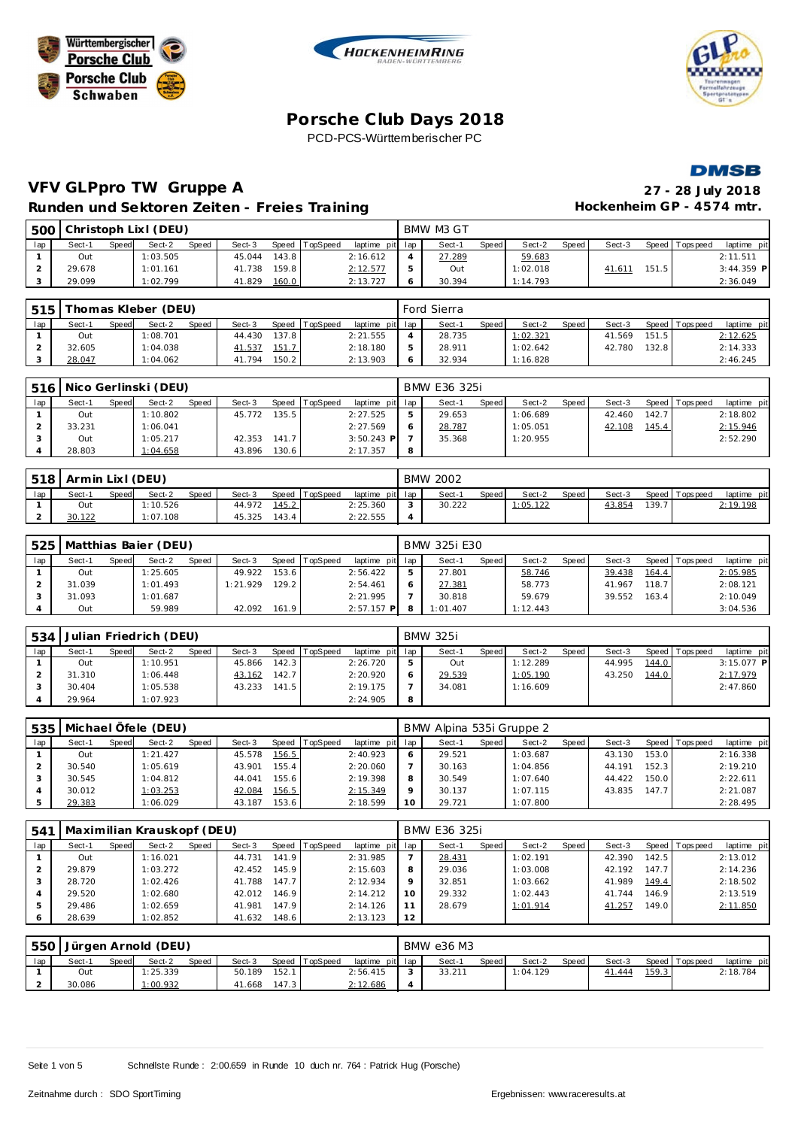







### **VFV GLPpro TW Gruppe A 27 - 28 July 2018 Runden und Sektoren Zeiten - Freies Training**

| 27 - 28 July 2018        |  |
|--------------------------|--|
| Hockenheim GP - 4574 mtr |  |

| 500 |        |              | Christoph Lixl (DEU) |       |        |       |          |                 |   | BMW M3 GT |       |          |         |        |         |                 |              |  |
|-----|--------|--------------|----------------------|-------|--------|-------|----------|-----------------|---|-----------|-------|----------|---------|--------|---------|-----------------|--------------|--|
| lap | Sect-1 | <b>Speed</b> | Sect-2               | Speed | Sect-3 | Speed | TopSpeed | laptime pit lap |   | Sect-1    | Speed | Sect-2   | Speed ! | Sect-3 |         | Speed Tops peed | laptime pit  |  |
|     | Out    |              | 1:03.505             |       | 45.044 | 143.8 |          | 2:16.612        |   | 27.289    |       | 59.683   |         |        |         |                 | 2:11.511     |  |
|     | 29.678 |              | 1:01.161             |       | 41.738 | 159.8 |          | 2:12.577        |   | Out       |       | 1:02.018 |         | 41.611 | 151.5 l |                 | $3:44.359$ P |  |
|     | 29.099 |              | 1:02.799             |       | 41.829 | 160.0 |          | 2:13.727        | 6 | 30.394    |       | 1:14.793 |         |        |         |                 | 2:36.049     |  |

| 515 |        |       | [homas Kleber (DEU) |       |        |       |                |                 | Ford Sierra |       |          |         |        |       |                 |             |
|-----|--------|-------|---------------------|-------|--------|-------|----------------|-----------------|-------------|-------|----------|---------|--------|-------|-----------------|-------------|
| lap | Sect-1 | Speed | Sect-2              | Speed | Sect-3 |       | Speed TopSpeed | laptime pit lap | Sect-1      | Speed | Sect-2   | Speed I | Sect-3 |       | Speed Tops peed | laptime pit |
|     | Out    |       | 1:08.701            |       | 44.430 | 137.8 |                | 2:21.555        | 28.735      |       | 1:02.321 |         | 41.569 | 151.5 |                 | 2:12.625    |
|     | 32.605 |       | 1:04.038            |       | 41.537 | 151.7 |                | 2:18.180        | 28.911      |       | 1:02.642 |         | 42.780 | 132.8 |                 | 2:14.333    |
|     | 28.047 |       | 1:04.062            |       | 41.794 | 150.2 |                | 2:13.903        | 32.934      |       | 1:16.828 |         |        |       |                 | 2:46.245    |

|     | 516   Nico Gerlinski (DEU) |       |          |       |        |       |          |                 |   | BMW E36 325i |       |          |       |        |       |                |             |
|-----|----------------------------|-------|----------|-------|--------|-------|----------|-----------------|---|--------------|-------|----------|-------|--------|-------|----------------|-------------|
| lap | Sect-1                     | Speed | Sect-2   | Speed | Sect-3 | Speed | TopSpeed | laptime pit lap |   | Sect-1       | Speed | Sect-2   | Speed | Sect-3 |       | Speed Topspeed | laptime pit |
|     | Out                        |       | 1:10.802 |       | 45.772 | 135.5 |          | 2:27.525        |   | 29.653       |       | 1:06.689 |       | 42.460 | 142.7 |                | 2:18.802    |
|     | 33.231                     |       | 1:06.041 |       |        |       |          | 2:27.569        |   | 28.787       |       | 1:05.051 |       | 42.108 | 145.4 |                | 2:15.946    |
|     | Out                        |       | 1:05.217 |       | 42.353 | 141.7 |          | $3:50.243$ P    |   | 35.368       |       | 1:20.955 |       |        |       |                | 2:52.290    |
|     | 28.803                     |       | 1:04.658 |       | 43.896 | 130.6 |          | 2:17.357        | 8 |              |       |          |       |        |       |                |             |

| 518 | Armin Lixl (DEU) |              |         |              |        |       |                |                 | <b>BMW 2002</b> |       |                 |       |        |       |                |             |
|-----|------------------|--------------|---------|--------------|--------|-------|----------------|-----------------|-----------------|-------|-----------------|-------|--------|-------|----------------|-------------|
| lap | Sect-1           | <b>Speed</b> | Sect-2  | <b>Speed</b> | Sect-3 |       | Speed TopSpeed | laptime pit lap | Sect-1          | Speed | Sect-2          | Speed | Sect-3 |       | Speed Topspeed | laptime pit |
|     | Out              |              | :10.526 |              | 44.972 | 145.2 |                | 2:25.360        | 30.222          |       | <u>1:05.122</u> |       | 43.854 | 139.7 |                | 2:19.198    |
|     | 30.122           |              | :07.108 |              | 45.325 | 143.4 |                | 2:22.555        |                 |       |                 |       |        |       |                |             |

| 525 |        |              | Matthias Baier (DEU) |       |          |       |          |                 | BMW 325i E30 |              |          |       |        |       |                 |             |
|-----|--------|--------------|----------------------|-------|----------|-------|----------|-----------------|--------------|--------------|----------|-------|--------|-------|-----------------|-------------|
| lap | Sect-1 | <b>Speed</b> | Sect-2               | Speed | Sect-3   | Speed | TopSpeed | laptime pit lap | Sect-1       | <b>Speed</b> | Sect-2   | Speed | Sect-3 |       | Speed Tops peed | laptime pit |
|     | Out    |              | 1:25.605             |       | 49.922   | 153.6 |          | 2:56.422        | 27.801       |              | 58.746   |       | 39.438 | 164.4 |                 | 2:05.985    |
|     | 31.039 |              | 1:01.493             |       | 1:21.929 | 129.2 |          | 2:54.461        | 27.381       |              | 58.773   |       | 41.967 | 118.7 |                 | 2:08.121    |
|     | 31.093 |              | 1:01.687             |       |          |       |          | 2:21.995        | 30.818       |              | 59.679   |       | 39.552 | 163.4 |                 | 2:10.049    |
|     | Out    |              | 59.989               |       | 42.092   | 161.9 |          | $2:57.157$ P    | 1:01.407     |              | 1:12.443 |       |        |       |                 | 3:04.536    |

| 534 |        |       | Julian Friedrich (DEU) |       |        |       |                |                 | <b>BMW 325i</b> |       |          |         |        |       |                 |             |
|-----|--------|-------|------------------------|-------|--------|-------|----------------|-----------------|-----------------|-------|----------|---------|--------|-------|-----------------|-------------|
| lap | Sect-1 | Speed | Sect-2                 | Speed | Sect-3 |       | Speed TopSpeed | laptime pit lap | Sect-1          | Speed | Sect-2   | Speed I | Sect-3 |       | Speed Tops peed | laptime pit |
|     | Out    |       | 1:10.951               |       | 45.866 | 142.3 |                | 2:26.720        | Out             |       | 1:12.289 |         | 44.995 | 144.0 |                 | 3:15.077 P  |
|     | 31.310 |       | 1:06.448               |       | 43.162 | 142.7 |                | 2:20.920        | 29.539          |       | 1:05.190 |         | 43.250 | 144.0 |                 | 2:17.979    |
|     | 30.404 |       | 1:05.538               |       | 43.233 | 141.5 |                | 2:19.175        | 34.081          |       | 1:16.609 |         |        |       |                 | 2:47.860    |
|     | 29.964 |       | 1:07.923               |       |        |       |                | 2:24.905        |                 |       |          |         |        |       |                 |             |

| 535 |        |       | Michael Öfele (DEU) |       |        |       |          |                 |         | BMW Alpina 535i Gruppe 2 |       |          |       |        |       |                   |             |
|-----|--------|-------|---------------------|-------|--------|-------|----------|-----------------|---------|--------------------------|-------|----------|-------|--------|-------|-------------------|-------------|
| lap | Sect-1 | Speed | Sect-2              | Speed | Sect-3 | Speed | TopSpeed | laptime pit lap |         | Sect-1                   | Speed | Sect-2   | Speed | Sect-3 |       | Speed   Tops peed | laptime pit |
|     | Out    |       | 1:21.427            |       | 45.578 | 156.5 |          | 2:40.923        | 6       | 29.521                   |       | 1:03.687 |       | 43.130 | 153.0 |                   | 2:16.338    |
|     | 30.540 |       | 1:05.619            |       | 43.901 | 155.4 |          | 2:20.060        |         | 30.163                   |       | 1:04.856 |       | 44.191 | 152.3 |                   | 2:19.210    |
|     | 30.545 |       | 1:04.812            |       | 44.041 | 155.6 |          | 2:19.398        | 8       | 30.549                   |       | 1:07.640 |       | 44.422 | 150.0 |                   | 2:22.611    |
|     | 30.012 |       | 1:03.253            |       | 42.084 | 156.5 |          | 2:15.349        | $\circ$ | 30.137                   |       | 1:07.115 |       | 43.835 | 147.7 |                   | 2:21.087    |
|     | 29.383 |       | 1:06.029            |       | 43.187 | 153.6 |          | 2:18.599        | 10      | 29.721                   |       | 1:07.800 |       |        |       |                   | 2:28.495    |

| 54 <sup>°</sup> |        |       | Maximilian Krauskopf (DEU) |       |        |        |                |             |         | BMW E36 325i |       |          |       |        |       |                 |             |
|-----------------|--------|-------|----------------------------|-------|--------|--------|----------------|-------------|---------|--------------|-------|----------|-------|--------|-------|-----------------|-------------|
| lap             | Sect-1 | Speed | Sect-2                     | Speed | Sect-3 |        | Speed TopSpeed | laptime pit | lap     | Sect-1       | Speed | Sect-2   | Speed | Sect-3 |       | Speed Tops peed | laptime pit |
|                 | Out    |       | 1:16.021                   |       | 44.731 | 141.9  |                | 2:31.985    |         | 28.431       |       | 1:02.191 |       | 42.390 | 142.5 |                 | 2:13.012    |
|                 | 29.879 |       | 1:03.272                   |       | 42.452 | 145.9  |                | 2:15.603    | 8       | 29.036       |       | 1:03.008 |       | 42.192 | 147.7 |                 | 2:14.236    |
|                 | 28.720 |       | 1:02.426                   |       | 41.788 | 147.7  |                | 2:12.934    | $\circ$ | 32.851       |       | 1:03.662 |       | 41.989 | 149.4 |                 | 2:18.502    |
|                 | 29.520 |       | 1:02.680                   |       | 42.012 | 146.9  |                | 2:14.212    | 10      | 29.332       |       | 1:02.443 |       | 41.744 | 146.9 |                 | 2:13.519    |
|                 | 29.486 |       | 1:02.659                   |       | 41.981 | 147.9  |                | 2:14.126    |         | 28.679       |       | 1:01.914 |       | 41.257 | 149.0 |                 | 2:11.850    |
|                 | 28.639 |       | 1:02.852                   |       | 41.632 | 148.61 |                | 2:13.123    | 12      |              |       |          |       |        |       |                 |             |

|     |        |              | l 550   Jürgen Arnold (DEU) |       |        |       |                |                 |          | BMW e36 M3 |       |          |       |        |       |                   |             |
|-----|--------|--------------|-----------------------------|-------|--------|-------|----------------|-----------------|----------|------------|-------|----------|-------|--------|-------|-------------------|-------------|
| lap | Sect-1 | <b>Speed</b> | Sect-2                      | Speed | Sect-3 |       | Speed TopSpeed | laptime pit lap |          | Sect-1     | Speed | Sect-2   | Speed | Sect-3 |       | Speed   Tops peed | laptime pit |
|     | Out    |              | 1:25.339                    |       | 50.189 | 152.1 |                | 2:56.415        | $\sim$   | 33.211     |       | 1:04.129 |       | 41.444 | 159.3 |                   | 2:18.784    |
|     | 30.086 |              | 1:00.932                    |       | 41.668 | 147.3 |                | 2:12.686        | $\Delta$ |            |       |          |       |        |       |                   |             |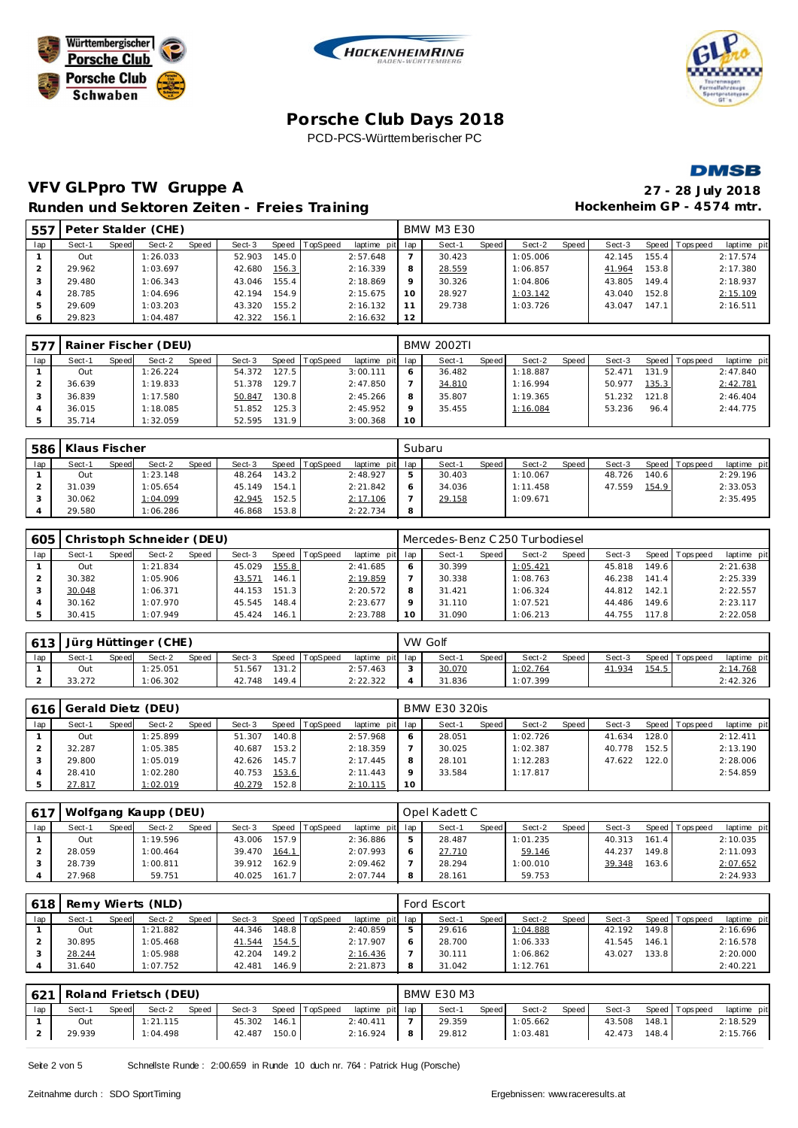







# **VFV GLPpro TW Gruppe A 27 - 28 July 2018**

29.823 1:04.487 42.322 156.1 2:16.632 **12**

|                |        |       |                     |       | Runden und Sektoren Zeiten - Freies Training |       |                |                 |    |                   |       |          |       | Hockenheim GP - 4574 mtr. |       |                |            |
|----------------|--------|-------|---------------------|-------|----------------------------------------------|-------|----------------|-----------------|----|-------------------|-------|----------|-------|---------------------------|-------|----------------|------------|
| 557            |        |       | Peter Stalder (CHE) |       |                                              |       |                |                 |    | <b>BMW M3 E30</b> |       |          |       |                           |       |                |            |
| lap            | Sect-1 | Speed | Sect-2              | Speed | Sect-3                                       |       | Speed TopSpeed | laptime pit lap |    | Sect-1            | Speed | Sect-2   | Speed | Sect-3                    |       | Speed Topspeed | laptime pi |
|                | Out    |       | 1:26.033            |       | 52.903                                       | 145.0 |                | 2:57.648        |    | 30.423            |       | 1:05.006 |       | 42.145                    | 155.4 |                | 2:17.574   |
| $\mathcal{P}$  | 29.962 |       | 1:03.697            |       | 42.680                                       | 156.3 |                | 2:16.339        | 8  | 28.559            |       | 1:06.857 |       | 41.964                    | 153.8 |                | 2:17.380   |
| 3              | 29.480 |       | 1:06.343            |       | 43.046                                       | 155.4 |                | 2:18.869        | 9  | 30.326            |       | 1:04.806 |       | 43.805                    | 149.4 |                | 2:18.937   |
| $\overline{4}$ | 28.785 |       | 1:04.696            |       | 42.194                                       | 154.9 |                | 2:15.675        | 10 | 28.927            |       | 1:03.142 |       | 43.040                    | 152.8 |                | 2:15.109   |
| 5              | 29.609 |       | 1:03.203            |       | 43.320                                       | 155.2 |                | 2:16.132        | 11 | 29.738            |       | 1:03.726 |       | 43.047                    | 147.1 |                | 2:16.511   |

| 577 |        |       | Rainer Fischer (DEU) |       |        |       |          |                 |         | BMW 2002TI |       |          |       |        |       |                 |             |
|-----|--------|-------|----------------------|-------|--------|-------|----------|-----------------|---------|------------|-------|----------|-------|--------|-------|-----------------|-------------|
| lap | Sect-1 | Speed | Sect-2               | Speed | Sect-3 | Speed | TopSpeed | laptime pit lap |         | Sect-1     | Speed | Sect-2   | Speed | Sect-3 |       | Speed Tops peed | laptime pit |
|     | Out    |       | 1:26.224             |       | 54.372 | 127.5 |          | 3:00.111        | 6       | 36.482     |       | 1:18.887 |       | 52.471 | 131.9 |                 | 2:47.840    |
|     | 36.639 |       | 1:19.833             |       | 51.378 | 129.7 |          | 2:47.850        |         | 34.810     |       | 1:16.994 |       | 50.977 | 135.3 |                 | 2:42.781    |
|     | 36.839 |       | 1:17.580             |       | 50.847 | 130.8 |          | 2:45.266        | 8       | 35.807     |       | 1:19.365 |       | 51.232 | 121.8 |                 | 2:46.404    |
|     | 36.015 |       | 1:18.085             |       | 51.852 | 125.3 |          | 2:45.952        | $\circ$ | 35.455     |       | 1:16.084 |       | 53.236 | 96.4  |                 | 2:44.775    |
|     | 35.714 |       | 1:32.059             |       | 52.595 | 131.9 |          | 3:00.368        | 10      |            |       |          |       |        |       |                 |             |

| 586 | Klaus Fischer |       |          |              |        |       |          |                 |   | Subaru |       |          |       |        |       |                 |             |
|-----|---------------|-------|----------|--------------|--------|-------|----------|-----------------|---|--------|-------|----------|-------|--------|-------|-----------------|-------------|
| lap | Sect-1        | Speed | Sect-2   | <b>Speed</b> | Sect-3 | Speed | TopSpeed | laptime pit lap |   | Sect-1 | Speed | Sect-2   | Speed | Sect-3 |       | Speed Tops peed | laptime pit |
|     | Out           |       | 1:23.148 |              | 48.264 | 143.2 |          | 2:48.927        | ь | 30.403 |       | 1:10.067 |       | 48.726 | 140.6 |                 | 2:29.196    |
|     | 31.039        |       | 1:05.654 |              | 45.149 | 154.1 |          | 2:21.842        |   | 34.036 |       | 1:11.458 |       | 47.559 | 154.9 |                 | 2:33.053    |
|     | 30.062        |       | 1:04.099 |              | 42.945 | 152.5 |          | 2:17.106        |   | 29.158 |       | 1:09.671 |       |        |       |                 | 2:35.495    |
|     | 29.580        |       | 1:06.286 |              | 46.868 | 153.8 |          | 2:22.734        | 8 |        |       |          |       |        |       |                 |             |

| 605 |        |       | Christoph Schneider (DEU) |       |        |       |          |                 |    | Mercedes-Benz C 250 Turbodiesel |       |          |       |        |         |           |             |
|-----|--------|-------|---------------------------|-------|--------|-------|----------|-----------------|----|---------------------------------|-------|----------|-------|--------|---------|-----------|-------------|
| lap | Sect-1 | Speed | Sect-2                    | Speed | Sect-3 | Speed | TopSpeed | laptime pit lap |    | Sect-1                          | Speed | Sect-2   | Speed | Sect-3 | Speed I | Tops peed | laptime pit |
|     | Out    |       | 1:21.834                  |       | 45.029 | 155.8 |          | 2:41.685        |    | 30.399                          |       | 1:05.421 |       | 45.818 | 149.6   |           | 2:21.638    |
|     | 30.382 |       | 1:05.906                  |       | 43.571 | 146.1 |          | 2:19.859        |    | 30.338                          |       | 1:08.763 |       | 46.238 | 141.4   |           | 2:25.339    |
|     | 30.048 |       | 1:06.371                  |       | 44.153 | 151.3 |          | 2:20.572        |    | 31.421                          |       | 1:06.324 |       | 44.812 | 142.1   |           | 2:22.557    |
|     | 30.162 |       | 1:07.970                  |       | 45.545 | 148.4 |          | 2:23.677        |    | 31.110                          |       | 1:07.521 |       | 44.486 | 149.6   |           | 2:23.117    |
|     | 30.415 |       | 1:07.949                  |       | 45.424 | 146.1 |          | 2:23.788        | 10 | 31.090                          |       | 1:06.213 |       | 44.755 | 117.8   |           | 2:22.058    |

| 613 |        |       | Jürg Hüttinger (CHE) |       |        |       |                |                 | VW Golf |       |          |       |        |       |                |             |
|-----|--------|-------|----------------------|-------|--------|-------|----------------|-----------------|---------|-------|----------|-------|--------|-------|----------------|-------------|
| lap | Sect-1 | Speed | Sect-2               | Speed | Sect-3 |       | Speed TopSpeed | laptime pit lap | Sect-1  | Speed | Sect-2   | Speed | Sect-3 |       | Speed Topspeed | laptime pit |
|     | Out    |       | : 25.051             |       | 51.567 | 131.2 |                | 2:57.463        | 30.070  |       | 1:02.764 |       | 41.934 | 154.5 |                | 2:14.768    |
|     | 33.272 |       | 1:06.302             |       | 42.748 | 149.4 |                | 2:22.322        | 31.836  |       | 1:07.399 |       |        |       |                | 2:42.326    |

| 616 |        |       | Gerald Dietz (DEU) |       |        |       |          |                 |    | <b>BMW E30 320is</b> |              |          |       |        |         |                   |             |
|-----|--------|-------|--------------------|-------|--------|-------|----------|-----------------|----|----------------------|--------------|----------|-------|--------|---------|-------------------|-------------|
| lap | Sect-1 | Speed | Sect-2             | Speed | Sect-3 | Speed | TopSpeed | laptime pit lap |    | Sect-1               | <b>Speed</b> | Sect-2   | Speed | Sect-3 |         | Speed   Tops peed | laptime pit |
|     | Out    |       | 1:25.899           |       | 51.307 | 140.8 |          | 2:57.968        | 6  | 28.051               |              | 1:02.726 |       | 41.634 | 128.0 l |                   | 2:12.411    |
|     | 32.287 |       | 1:05.385           |       | 40.687 | 153.2 |          | 2:18.359        |    | 30.025               |              | 1:02.387 |       | 40.778 | 152.5   |                   | 2:13.190    |
|     | 29.800 |       | 1:05.019           |       | 42.626 | 145.7 |          | 2:17.445        | 8  | 28.101               |              | 1:12.283 |       | 47.622 | 122.0   |                   | 2:28.006    |
|     | 28.410 |       | 1:02.280           |       | 40.753 | 153.6 |          | 2:11.443        | Q  | 33.584               |              | 1:17.817 |       |        |         |                   | 2:54.859    |
|     | 27.817 |       | 1:02.019           |       | 40.279 | 152.8 |          | 2:10.115        | 10 |                      |              |          |       |        |         |                   |             |

|     | 617   Wolfgang Kaupp (DEU) |       |          |       |        |       |                |                 | Opel Kadett C |       |          |       |        |       |                 |             |
|-----|----------------------------|-------|----------|-------|--------|-------|----------------|-----------------|---------------|-------|----------|-------|--------|-------|-----------------|-------------|
| lap | Sect-1                     | Speed | Sect-2   | Speed | Sect-3 |       | Speed TopSpeed | laptime pit lap | Sect-1        | Speed | Sect-2   | Speed | Sect-3 |       | Speed Tops peed | laptime pit |
|     | Out                        |       | 1:19.596 |       | 43.006 | 157.9 |                | 2:36.886        | 28.487        |       | 1:01.235 |       | 40.313 | 161.4 |                 | 2:10.035    |
|     | 28.059                     |       | 1:00.464 |       | 39.470 | 164.1 |                | 2:07.993        | 27.710        |       | 59.146   |       | 44.237 | 149.8 |                 | 2:11.093    |
|     | 28.739                     |       | 1:00.811 |       | 39.912 | 162.9 |                | 2:09.462        | 28.294        |       | 1:00.010 |       | 39.348 | 163.6 |                 | 2:07.652    |
|     | 27.968                     |       | 59.751   |       | 40.025 | 161.7 |                | 2:07.744        | 28.161        |       | 59.753   |       |        |       |                 | 2:24.933    |

| 618 |        |       | Remy Wierts (NLD) |       |        |       |          |                 |   | Ford Escort |       |          |         |        |       |                |             |
|-----|--------|-------|-------------------|-------|--------|-------|----------|-----------------|---|-------------|-------|----------|---------|--------|-------|----------------|-------------|
| lap | Sect-1 | Speed | Sect-2            | Speed | Sect-3 | Speed | TopSpeed | laptime pit lap |   | Sect-1      | Speed | Sect-2   | Speed i | Sect-3 |       | Speed Topspeed | laptime pit |
|     | Out    |       | 1:21.882          |       | 44.346 | 148.8 |          | 2:40.859        | ь | 29.616      |       | 1:04.888 |         | 42.192 | 149.8 |                | 2:16.696    |
|     | 30.895 |       | 1:05.468          |       | 41.544 | 154.5 |          | 2:17.907        |   | 28.700      |       | 1:06.333 |         | 41.545 | 146.1 |                | 2:16.578    |
|     | 28.244 |       | 1:05.988          |       | 42.204 | 149.2 |          | 2:16.436        |   | 30.111      |       | 1:06.862 |         | 43.027 | 133.8 |                | 2:20.000    |
|     | 31.640 |       | 1:07.752          |       | 42.481 | 146.9 |          | 2:21.873        |   | 31.042      |       | 1:12.761 |         |        |       |                | 2:40.221    |

|     |        |        | 621   Roland Frietsch (DEU) |              |        |       |          |                 | <b>BMW E30 M3</b> |       |          |       |        |       |                   |             |
|-----|--------|--------|-----------------------------|--------------|--------|-------|----------|-----------------|-------------------|-------|----------|-------|--------|-------|-------------------|-------------|
| lap | Sect-1 | Speedl | Sect-2                      | <b>Speed</b> | Sect-3 | Speed | TopSpeed | laptime pit lap | Sect-1            | Speed | Sect-2   | Speed | Sect-3 |       | Speed   Tops peed | laptime pit |
|     | Out    |        | 1:21.115                    |              | 45.302 | 146.1 |          | 2:40.411        | 29.359            |       | 1:05.662 |       | 43.508 | 148.1 |                   | 2:18.529    |
|     | 29.939 |        | 1:04.498                    |              | 42.487 | 150.0 |          | 2:16.924        | 29.812            |       | 1:03.481 |       | 42.473 | 148.4 |                   | 2:15.766    |

Seite 2 von 5 Schnellste Runde : 2:00.659 in Runde 10 duch nr. 764 : Patrick Hug (Porsche)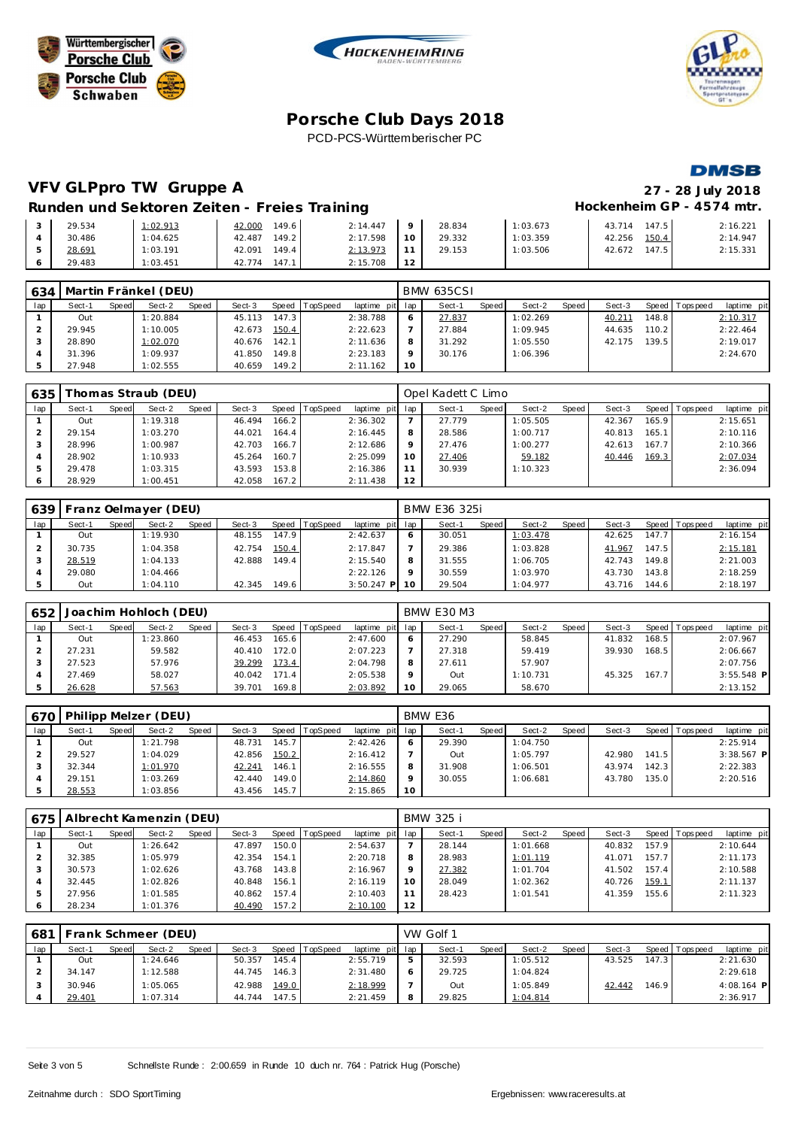





**DMSB** 

# **VFV GLPpro TW Gruppe A 27 - 28 July 2018**

#### Runden und Sektoren Zeiten - Freies Training **Entrarchise Enter a Freies Training** Hockenheim GP - 4574 mtr.

| 29.534 | 1:02.913 | 149.6<br>42.000 | 2:14.447 | $\circ$ | 28.834 | 1:03.673 | 147.5<br>43.714 | 2:16.221 |
|--------|----------|-----------------|----------|---------|--------|----------|-----------------|----------|
| 30.486 | 1:04.625 | 149.2<br>42.487 | 2:17.598 | 10      | 29.332 | 1:03.359 | 150.4<br>42.256 | 2:14.947 |
| 28.691 | 1:03.191 | 149.4<br>42.091 | 2:13.973 | $\sim$  | 29.153 | 1:03.506 | 147.5<br>42.672 | 2:15.331 |
| 29.483 | 1:03.451 | 147.1<br>42.774 | 2:15.708 |         |        |          |                 |          |

| 634 | Martin Fränkel (DEU) |       |          |       |        |       |                |                 |    | <b>BMW 635CSI</b> |       |          |       |        |       |                 |             |
|-----|----------------------|-------|----------|-------|--------|-------|----------------|-----------------|----|-------------------|-------|----------|-------|--------|-------|-----------------|-------------|
| lap | Sect-1               | Speed | Sect-2   | Speed | Sect-3 |       | Speed TopSpeed | laptime pit lap |    | Sect-1            | Speed | Sect-2   | Speed | Sect-3 |       | Speed Tops peed | laptime pit |
|     | Out                  |       | 1:20.884 |       | 45.113 | 147.3 |                | 2:38.788        |    | 27.837            |       | 1:02.269 |       | 40.211 | 148.8 |                 | 2:10.317    |
|     | 29.945               |       | 1:10.005 |       | 42.673 | 150.4 |                | 2:22.623        |    | 27.884            |       | 1:09.945 |       | 44.635 | 110.2 |                 | 2:22.464    |
|     | 28.890               |       | 1:02.070 |       | 40.676 | 142.1 |                | 2:11.636        |    | 31.292            |       | 1:05.550 |       | 42.175 | 139.5 |                 | 2:19.017    |
|     | 31.396               |       | 1:09.937 |       | 41.850 | 149.8 |                | 2:23.183        |    | 30.176            |       | 1:06.396 |       |        |       |                 | 2:24.670    |
|     | 27.948               |       | 1:02.555 |       | 40.659 | 149.2 |                | 2:11.162        | 10 |                   |       |          |       |        |       |                 |             |

| 635 |        |       | homas Straub (DEU) |       |        |       |          |                 |         | Opel Kadett C Limo |         |          |       |        |       |                |             |
|-----|--------|-------|--------------------|-------|--------|-------|----------|-----------------|---------|--------------------|---------|----------|-------|--------|-------|----------------|-------------|
| lap | Sect-1 | Speed | Sect-2             | Speed | Sect-3 | Speed | TopSpeed | laptime pit lap |         | Sect-1             | Speed I | Sect-2   | Speed | Sect-3 |       | Speed Topspeed | laptime pit |
|     | Out    |       | 1:19.318           |       | 46.494 | 166.2 |          | 2:36.302        |         | 27.779             |         | 1:05.505 |       | 42.367 | 165.9 |                | 2:15.651    |
|     | 29.154 |       | 1:03.270           |       | 44.021 | 164.4 |          | 2:16.445        | 8       | 28.586             |         | 1:00.717 |       | 40.813 | 165.1 |                | 2:10.116    |
|     | 28.996 |       | 1:00.987           |       | 42.703 | 166.7 |          | 2:12.686        | $\circ$ | 27.476             |         | 1:00.277 |       | 42.613 | 167.7 |                | 2:10.366    |
|     | 28.902 |       | 1:10.933           |       | 45.264 | 160.7 |          | 2:25.099        | 10      | 27.406             |         | 59.182   |       | 40.446 | 169.3 |                | 2:07.034    |
|     | 29.478 |       | 1:03.315           |       | 43.593 | 153.8 |          | 2:16.386        | 11      | 30.939             |         | 1:10.323 |       |        |       |                | 2:36.094    |
|     | 28.929 |       | 1:00.451           |       | 42.058 | 167.2 |          | 2:11.438        | 12      |                    |         |          |       |        |       |                |             |

| 639 |        |       | Franz Oelmayer (DEU) |       |        |       |                  |              |         | BMW E36 325i |              |          |       |        |       |                |             |
|-----|--------|-------|----------------------|-------|--------|-------|------------------|--------------|---------|--------------|--------------|----------|-------|--------|-------|----------------|-------------|
| lap | Sect-1 | Speed | Sect-2               | Speed | Sect-3 |       | Speed   TopSpeed | laptime pit  | lap     | Sect-1       | <b>Speed</b> | Sect-2   | Speed | Sect-3 |       | Speed Topspeed | laptime pit |
|     | Out    |       | 1:19.930             |       | 48.155 | 147.9 |                  | 2:42.637     | 6       | 30.051       |              | 1:03.478 |       | 42.625 | 147.7 |                | 2:16.154    |
|     | 30.735 |       | 1:04.358             |       | 42.754 | 150.4 |                  | 2:17.847     |         | 29.386       |              | 1:03.828 |       | 41.967 | 147.5 |                | 2:15.181    |
|     | 28.519 |       | 1:04.133             |       | 42.888 | 149.4 |                  | 2:15.540     | 8       | 31.555       |              | 1:06.705 |       | 42.743 | 149.8 |                | 2:21.003    |
|     | 29.080 |       | 1:04.466             |       |        |       |                  | 2:22.126     | $\circ$ | 30.559       |              | 1:03.970 |       | 43.730 | 143.8 |                | 2:18.259    |
|     | Out    |       | 1:04.110             |       | 42.345 | 149.6 |                  | $3:50.247$ P | 10      | 29.504       |              | 1:04.977 |       | 43.716 | 144.6 |                | 2:18.197    |

| 652 |        |       | Joachim Hohloch (DEU) |              |        |                    |                 |                 |    | <b>BMW E30 M3</b> |       |          |       |        |       |                |              |
|-----|--------|-------|-----------------------|--------------|--------|--------------------|-----------------|-----------------|----|-------------------|-------|----------|-------|--------|-------|----------------|--------------|
| lap | Sect-1 | Speed | Sect-2                | <b>Speed</b> | Sect-3 | Speed              | <b>TopSpeed</b> | laptime pit lap |    | Sect-1            | Speed | Sect-2   | Speed | Sect-3 |       | Speed Topspeed | laptime pit  |
|     | Out    |       | 1:23.860              |              | 46.453 | 165.6              |                 | 2:47.600        |    | 27.290            |       | 58.845   |       | 41.832 | 168.5 |                | 2:07.967     |
|     | 27.231 |       | 59.582                |              | 40.410 | 172.0              |                 | 2:07.223        |    | 27.318            |       | 59.419   |       | 39.930 | 168.5 |                | 2:06.667     |
|     | 27.523 |       | 57.976                |              | 39.299 | 173.4              |                 | 2:04.798        |    | 27.611            |       | 57.907   |       |        |       |                | 2:07.756     |
|     | 27.469 |       | 58.027                |              | 40.042 | 171.4              |                 | 2:05.538        |    | Out               |       | 1:10.731 |       | 45.325 | 167.7 |                | $3:55.548$ P |
|     | 26.628 |       | 57.563                |              | 39.701 | 169.8 <sub>1</sub> |                 | 2:03.892        | 10 | 29.065            |       | 58.670   |       |        |       |                | 2:13.152     |

| 670 |        |              | Philipp Melzer (DEU) |       |        |       |          |                 |    | BMW E36 |       |          |       |        |       |                |              |
|-----|--------|--------------|----------------------|-------|--------|-------|----------|-----------------|----|---------|-------|----------|-------|--------|-------|----------------|--------------|
| lap | Sect-1 | <b>Speed</b> | Sect-2               | Speed | Sect-3 | Speed | TopSpeed | laptime pit lap |    | Sect-1  | Speed | Sect-2   | Speed | Sect-3 |       | Speed Topspeed | laptime pit  |
|     | Out    |              | 1:21.798             |       | 48.731 | 145.7 |          | 2:42.426        |    | 29.390  |       | 1:04.750 |       |        |       |                | 2:25.914     |
|     | 29.527 |              | 1:04.029             |       | 42.856 | 150.2 |          | 2:16.412        |    | Out     |       | 1:05.797 |       | 42.980 | 141.5 |                | $3:38.567$ P |
|     | 32.344 |              | 1:01.970             |       | 42.241 | 146.1 |          | 2:16.555        |    | 31.908  |       | 1:06.501 |       | 43.974 | 142.3 |                | 2:22.383     |
|     | 29.151 |              | 1:03.269             |       | 42.440 | 149.0 |          | 2:14.860        |    | 30.055  |       | 1:06.681 |       | 43.780 | 135.0 |                | 2:20.516     |
|     | 28.553 |              | 1:03.856             |       | 43.456 | 145.7 |          | 2:15.865        | 10 |         |       |          |       |        |       |                |              |

|     | 675   Albrecht Kamenzin (DEU) |       |          |       |        |       |                |                 |    | <b>BMW 325 i</b> |       |          |       |        |       |                |             |
|-----|-------------------------------|-------|----------|-------|--------|-------|----------------|-----------------|----|------------------|-------|----------|-------|--------|-------|----------------|-------------|
| lap | Sect-1                        | Speed | Sect-2   | Speed | Sect-3 |       | Speed TopSpeed | laptime pit lap |    | Sect-1           | Speed | Sect-2   | Speed | Sect-3 |       | Speed Topspeed | laptime pit |
|     | Out                           |       | 1:26.642 |       | 47.897 | 150.0 |                | 2:54.637        |    | 28.144           |       | 1:01.668 |       | 40.832 | 157.9 |                | 2:10.644    |
|     | 32.385                        |       | 1:05.979 |       | 42.354 | 154.1 |                | 2:20.718        | 8  | 28.983           |       | 1:01.119 |       | 41.071 | 157.7 |                | 2:11.173    |
|     | 30.573                        |       | 1:02.626 |       | 43.768 | 143.8 |                | 2:16.967        |    | 27.382           |       | 1:01.704 |       | 41.502 | 157.4 |                | 2:10.588    |
|     | 32.445                        |       | 1:02.826 |       | 40.848 | 156.1 |                | 2:16.119        | 10 | 28.049           |       | 1:02.362 |       | 40.726 | 159.1 |                | 2:11.137    |
| 5   | 27.956                        |       | 1:01.585 |       | 40.862 | 157.4 |                | 2:10.403        |    | 28.423           |       | 1:01.541 |       | 41.359 | 155.6 |                | 2:11.323    |
|     | 28.234                        |       | 1:01.376 |       | 40.490 | 157.2 |                | 2:10.100        | 12 |                  |       |          |       |        |       |                |             |

| 681 |        |       | Frank Schmeer (DEU) |       |        |       |                |                 |   | VW Golf 1 |       |          |       |        |       |                 |              |
|-----|--------|-------|---------------------|-------|--------|-------|----------------|-----------------|---|-----------|-------|----------|-------|--------|-------|-----------------|--------------|
| lap | Sect-1 | Speed | Sect-2              | Speed | Sect-3 |       | Speed TopSpeed | laptime pit lap |   | Sect-1    | Speed | Sect-2   | Speed | Sect-3 |       | Speed Tops peed | laptime pit  |
|     | Out    |       | 1:24.646            |       | 50.357 | 145.4 |                | 2:55.719        | ь | 32.593    |       | 1:05.512 |       | 43.525 | 147.3 |                 | 2:21.630     |
|     | 34.147 |       | 1:12.588            |       | 44.745 | 146.3 |                | 2:31.480        | 6 | 29.725    |       | 1:04.824 |       |        |       |                 | 2:29.618     |
|     | 30.946 |       | 1:05.065            |       | 42.988 | 149.0 |                | 2:18.999        |   | Out       |       | 1:05.849 |       | 42.442 | 146.9 |                 | $4:08.164$ P |
|     | 29.401 |       | 1:07.314            |       | 44.744 | 147.5 |                | 2:21.459        | 8 | 29.825    |       | 1:04.814 |       |        |       |                 | 2:36.917     |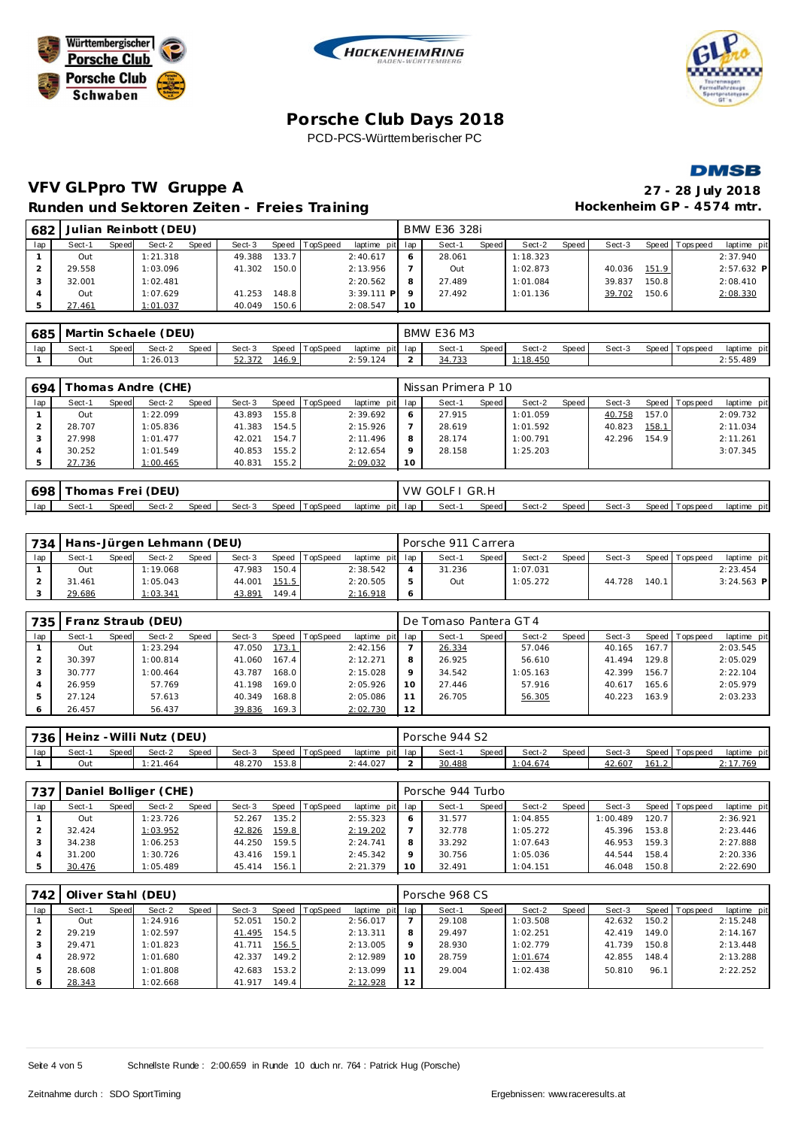







# **VFV GLPpro TW Gruppe A 27 - 28 July 2018** Runden und Sektoren Zeiten - Freies Training **Matter and Australian CR** - 4574 mtr.

| 682 |        |       | Julian Reinbott (DEU) |       |        |       |                |                 |    | BMW E36 328i |       |          |       |        |       |                 |              |
|-----|--------|-------|-----------------------|-------|--------|-------|----------------|-----------------|----|--------------|-------|----------|-------|--------|-------|-----------------|--------------|
| lap | Sect-1 | Speed | Sect-2                | Speed | Sect-3 |       | Speed TopSpeed | laptime pit lap |    | Sect-1       | Speed | Sect-2   | Speed | Sect-3 |       | Speed Tops peed | laptime pit  |
|     | Out    |       | 1:21.318              |       | 49.388 | 133.7 |                | 2:40.617        |    | 28.061       |       | 1:18.323 |       |        |       |                 | 2:37.940     |
|     | 29.558 |       | 1:03.096              |       | 41.302 | 150.0 |                | 2:13.956        |    | Out          |       | 1:02.873 |       | 40.036 | 151.9 |                 | $2:57.632$ P |
|     | 32.001 |       | 1:02.481              |       |        |       |                | 2:20.562        |    | 27.489       |       | 1:01.084 |       | 39.837 | 150.8 |                 | 2:08.410     |
|     | Out    |       | 1:07.629              |       | 41.253 | 148.8 |                | $3:39.111$ P    |    | 27.492       |       | 1:01.136 |       | 39.702 | 150.6 |                 | 2:08.330     |
|     | 27.461 |       | 1:01.037              |       | 40.049 | 150.6 |                | 2:08.547        | 10 |              |       |          |       |        |       |                 |              |

|     | 685   Martin Schaele (DEU) |       |         |       |        |       |                |          |         | <b>BMW E36 M3</b> |       |          |       |        |           |           |                |
|-----|----------------------------|-------|---------|-------|--------|-------|----------------|----------|---------|-------------------|-------|----------|-------|--------|-----------|-----------|----------------|
| lap | Sect-                      | Speed | Sect-2  | Speed | Sect-3 |       | Speed TopSpeed | laptime  | pit lap | Sect-             | Speed | Sect-2   | Speed | Sect-3 | Speed   T | Tops peed | pit<br>laptime |
|     | Out                        |       | .26.013 |       | 52.372 | 146.9 |                | 2:59.124 |         | 34.733            |       | 1:18.450 |       |        |           |           | 2:55.489       |

| 694 |        |       | homas Andre (CHE) |       |        |       |                |                 |                 | Nissan Primera P 10 |       |          |       |        |       |                 |             |
|-----|--------|-------|-------------------|-------|--------|-------|----------------|-----------------|-----------------|---------------------|-------|----------|-------|--------|-------|-----------------|-------------|
| lap | Sect-1 | Speed | Sect-2            | Speed | Sect-3 |       | Speed TopSpeed | laptime pit lap |                 | Sect-1              | Speed | Sect-2   | Speed | Sect-3 |       | Speed Tops peed | laptime pit |
|     | Out    |       | 1:22.099          |       | 43.893 | 155.8 |                | 2:39.692        |                 | 27.915              |       | 1:01.059 |       | 40.758 | 157.0 |                 | 2:09.732    |
|     | 28.707 |       | 1:05.836          |       | 41.383 | 154.5 |                | 2:15.926        |                 | 28.619              |       | 1:01.592 |       | 40.823 | 158.1 |                 | 2:11.034    |
|     | 27.998 |       | 1:01.477          |       | 42.021 | 154.7 |                | 2:11.496        |                 | 28.174              |       | 1:00.791 |       | 42.296 | 154.9 |                 | 2:11.261    |
|     | 30.252 |       | 1:01.549          |       | 40.853 | 155.2 |                | 2:12.654        |                 | 28.158              |       | 1:25.203 |       |        |       |                 | 3:07.345    |
|     | 27.736 |       | 1:00.465          |       | 40.831 | 155.2 |                | 2:09.032        | 10 <sup>°</sup> |                     |       |          |       |        |       |                 |             |

| 698 |       | 'homas Frei | (DEU)  |       |        |       |          |         | VW      | GOLF<br>$\sim$ $\sim$ $\sim$ $\sim$ | GR.H<br>the contract of the contract of the |        |       |        |                  |                |
|-----|-------|-------------|--------|-------|--------|-------|----------|---------|---------|-------------------------------------|---------------------------------------------|--------|-------|--------|------------------|----------------|
| lap | Sect- | Speed       | Sect-2 | Speed | Sect-3 | Speed | TopSpeed | laptime | pit lap | Sect-                               | Speed                                       | Sect-2 | Speed | Sect-3 | Speed<br>opspeed | pit<br>laptime |

| 734 |        |       | Hans-Jürgen Lehmann (DEU) |              |        |       |                |                 | Porsche 911 Carrera |       |          |       |        |       |                 |              |
|-----|--------|-------|---------------------------|--------------|--------|-------|----------------|-----------------|---------------------|-------|----------|-------|--------|-------|-----------------|--------------|
| lap | Sect-1 | Speed | Sect-2                    | <b>Speed</b> | Sect-3 |       | Speed TopSpeed | laptime pit lap | Sect-1              | Speed | Sect-2   | Speed | Sect-3 |       | Speed Tops peed | laptime pit  |
|     | Out    |       | 1:19.068                  |              | 47.983 | 150.4 |                | 2:38.542        | 31.236              |       | 1:07.031 |       |        |       |                 | 2:23.454     |
|     | 31.461 |       | 1:05.043                  |              | 44.001 | 151.5 |                | 2:20.505        | Out                 |       | 1:05.272 |       | 44.728 | 140.1 |                 | $3:24.563$ P |
|     | 29.686 |       | 1:03.341                  |              | 43.891 | 149.4 |                | 2:16.918        |                     |       |          |       |        |       |                 |              |

| 735 |        |       | Franz Straub (DEU) |       |        |       |          |                 |         | l De Tomaso Pantera GT 4 |       |          |       |        |       |                |             |
|-----|--------|-------|--------------------|-------|--------|-------|----------|-----------------|---------|--------------------------|-------|----------|-------|--------|-------|----------------|-------------|
| lap | Sect-1 | Speed | Sect-2             | Speed | Sect-3 | Speed | TopSpeed | laptime pit lap |         | Sect-1                   | Speed | Sect-2   | Speed | Sect-3 |       | Speed Topspeed | laptime pit |
|     | Out    |       | 1:23.294           |       | 47.050 | 173.1 |          | 2:42.156        |         | 26.334                   |       | 57.046   |       | 40.165 | 167.7 |                | 2:03.545    |
|     | 30.397 |       | 1:00.814           |       | 41.060 | 167.4 |          | 2:12.271        | 8       | 26.925                   |       | 56.610   |       | 41.494 | 129.8 |                | 2:05.029    |
|     | 30.777 |       | 1:00.464           |       | 43.787 | 168.0 |          | 2:15.028        | $\circ$ | 34.542                   |       | 1:05.163 |       | 42.399 | 156.7 |                | 2:22.104    |
|     | 26.959 |       | 57.769             |       | 41.198 | 169.0 |          | 2:05.926        | 10      | 27.446                   |       | 57.916   |       | 40.617 | 165.6 |                | 2:05.979    |
|     | 27.124 |       | 57.613             |       | 40.349 | 168.8 |          | 2:05.086        |         | 26.705                   |       | 56.305   |       | 40.223 | 163.9 |                | 2:03.233    |
|     | 26.457 |       | 56.437             |       | 39.836 | 169.3 |          | 2:02.730        | 12      |                          |       |          |       |        |       |                |             |

| 736 | Heinz  |       | : -Willi Nutz (DEU) |       |        |       |          |          |         | Porsche 944 S2 |              |         |       |        |                |                   |             |
|-----|--------|-------|---------------------|-------|--------|-------|----------|----------|---------|----------------|--------------|---------|-------|--------|----------------|-------------------|-------------|
| lap | Sect-1 | Speed | Sect-2              | Speed | Sect-3 | Speed | TopSpeed | laptime  | pit lap | Sect-          | <b>Speed</b> | Sect-2  | Speed | Sect-3 |                | Speed   Tops peed | laptime pit |
|     | Out    |       | : 21.464            |       | 48.270 | 153.8 |          | 2:44.027 |         | 30.488         |              | :04.674 |       | 42.607 | <u> 161.2 </u> |                   | 2:17.769    |

| 737 |        |       | Daniel Bolliger (CHE) |       |        |       |          |                 |         | Porsche 944 Turbo |       |          |       |          |       |                |             |
|-----|--------|-------|-----------------------|-------|--------|-------|----------|-----------------|---------|-------------------|-------|----------|-------|----------|-------|----------------|-------------|
| lap | Sect-1 | Speed | Sect-2                | Speed | Sect-3 | Speed | TopSpeed | laptime pit lap |         | Sect-1            | Speed | Sect-2   | Speed | Sect-3   |       | Speed Topspeed | laptime pit |
|     | Out    |       | 1:23.726              |       | 52.267 | 135.2 |          | 2:55.323        |         | 31.577            |       | 1:04.855 |       | 1:00.489 | 120.7 |                | 2:36.921    |
|     | 32.424 |       | 1:03.952              |       | 42.826 | 159.8 |          | 2:19.202        |         | 32.778            |       | 1:05.272 |       | 45.396   | 153.8 |                | 2:23.446    |
|     | 34.238 |       | 1:06.253              |       | 44.250 | 159.5 |          | 2:24.741        | 8       | 33.292            |       | 1:07.643 |       | 46.953   | 159.3 |                | 2:27.888    |
|     | 31.200 |       | 1:30.726              |       | 43.416 | 159.1 |          | 2:45.342        | $\circ$ | 30.756            |       | 1:05.036 |       | 44.544   | 158.4 |                | 2:20.336    |
|     | 30.476 |       | 1:05.489              |       | 45.414 | 156.1 |          | 2:21.379        | 10      | 32.491            |       | 1:04.151 |       | 46.048   | 150.8 |                | 2:22.690    |

| 742 |        |       | Oliver Stahl (DEU) |       |        |       |          |                 |         | Porsche 968 CS |         |          |       |        |       |                |             |
|-----|--------|-------|--------------------|-------|--------|-------|----------|-----------------|---------|----------------|---------|----------|-------|--------|-------|----------------|-------------|
| lap | Sect-1 | Speed | Sect-2             | Speed | Sect-3 | Speed | TopSpeed | laptime pit lap |         | Sect-1         | Speed I | Sect-2   | Speed | Sect-3 |       | Speed Topspeed | laptime pit |
|     | Out    |       | 1:24.916           |       | 52.051 | 150.2 |          | 2:56.017        |         | 29.108         |         | 1:03.508 |       | 42.632 | 150.2 |                | 2:15.248    |
|     | 29.219 |       | 1:02.597           |       | 41.495 | 154.5 |          | 2:13.311        | 8       | 29.497         |         | 1:02.251 |       | 42.419 | 149.0 |                | 2:14.167    |
|     | 29.471 |       | 1:01.823           |       | 41.711 | 156.5 |          | 2:13.005        | $\circ$ | 28.930         |         | 1:02.779 |       | 41.739 | 150.8 |                | 2:13.448    |
|     | 28.972 |       | 1:01.680           |       | 42.337 | 149.2 |          | 2:12.989        | 10      | 28.759         |         | 1:01.674 |       | 42.855 | 148.4 |                | 2:13.288    |
|     | 28.608 |       | 1:01.808           |       | 42.683 | 153.2 |          | 2:13.099        | 11      | 29.004         |         | 1:02.438 |       | 50.810 | 96.1  |                | 2:22.252    |
|     | 28.343 |       | 1:02.668           |       | 41.917 | 149.4 |          | 2:12.928        | 12      |                |         |          |       |        |       |                |             |